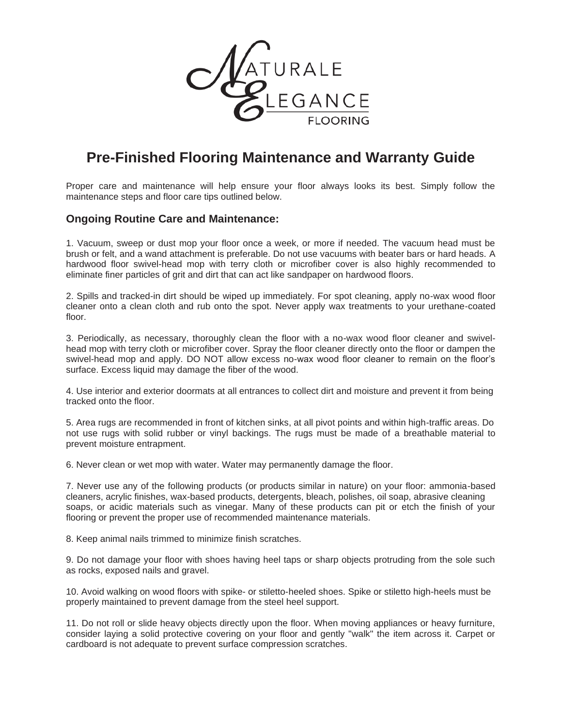

# **Pre-Finished Flooring Maintenance and Warranty Guide**

Proper care and maintenance will help ensure your floor always looks its best. Simply follow the maintenance steps and floor care tips outlined below.

## **Ongoing Routine Care and Maintenance:**

1. Vacuum, sweep or dust mop your floor once a week, or more if needed. The vacuum head must be brush or felt, and a wand attachment is preferable. Do not use vacuums with beater bars or hard heads. A hardwood floor swivel-head mop with terry cloth or microfiber cover is also highly recommended to eliminate finer particles of grit and dirt that can act like sandpaper on hardwood floors.

2. Spills and tracked-in dirt should be wiped up immediately. For spot cleaning, apply no-wax wood floor cleaner onto a clean cloth and rub onto the spot. Never apply wax treatments to your urethane-coated floor.

3. Periodically, as necessary, thoroughly clean the floor with a no-wax wood floor cleaner and swivelhead mop with terry cloth or microfiber cover. Spray the floor cleaner directly onto the floor or dampen the swivel-head mop and apply. DO NOT allow excess no-wax wood floor cleaner to remain on the floor's surface. Excess liquid may damage the fiber of the wood.

4. Use interior and exterior doormats at all entrances to collect dirt and moisture and prevent it from being tracked onto the floor.

5. Area rugs are recommended in front of kitchen sinks, at all pivot points and within high-traffic areas. Do not use rugs with solid rubber or vinyl backings. The rugs must be made of a breathable material to prevent moisture entrapment.

6. Never clean or wet mop with water. Water may permanently damage the floor.

7. Never use any of the following products (or products similar in nature) on your floor: ammonia-based cleaners, acrylic finishes, wax-based products, detergents, bleach, polishes, oil soap, abrasive cleaning soaps, or acidic materials such as vinegar. Many of these products can pit or etch the finish of your flooring or prevent the proper use of recommended maintenance materials.

8. Keep animal nails trimmed to minimize finish scratches.

9. Do not damage your floor with shoes having heel taps or sharp objects protruding from the sole such as rocks, exposed nails and gravel.

10. Avoid walking on wood floors with spike- or stiletto-heeled shoes. Spike or stiletto high-heels must be properly maintained to prevent damage from the steel heel support.

11. Do not roll or slide heavy objects directly upon the floor. When moving appliances or heavy furniture, consider laying a solid protective covering on your floor and gently "walk" the item across it. Carpet or cardboard is not adequate to prevent surface compression scratches.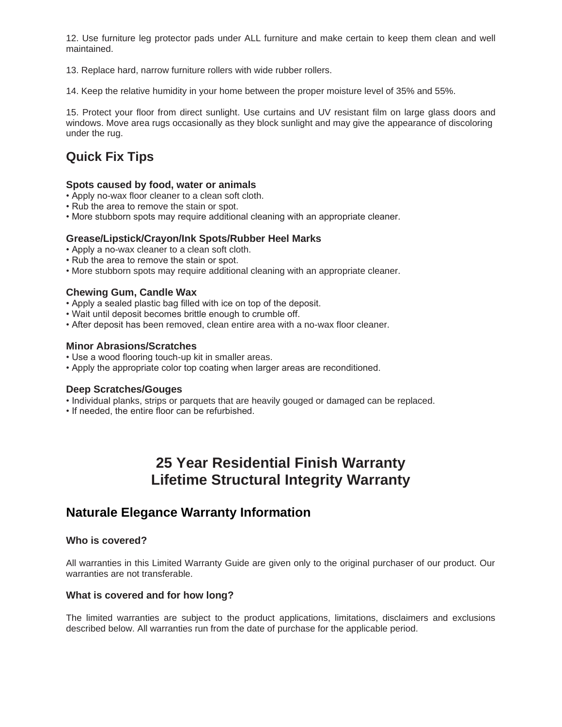12. Use furniture leg protector pads under ALL furniture and make certain to keep them clean and well maintained.

13. Replace hard, narrow furniture rollers with wide rubber rollers.

14. Keep the relative humidity in your home between the proper moisture level of 35% and 55%.

15. Protect your floor from direct sunlight. Use curtains and UV resistant film on large glass doors and windows. Move area rugs occasionally as they block sunlight and may give the appearance of discoloring under the rug.

# **Quick Fix Tips**

## **Spots caused by food, water or animals**

- Apply no-wax floor cleaner to a clean soft cloth.
- Rub the area to remove the stain or spot.
- More stubborn spots may require additional cleaning with an appropriate cleaner.

## **Grease/Lipstick/Crayon/Ink Spots/Rubber Heel Marks**

- Apply a no-wax cleaner to a clean soft cloth.
- Rub the area to remove the stain or spot.
- More stubborn spots may require additional cleaning with an appropriate cleaner.

## **Chewing Gum, Candle Wax**

- Apply a sealed plastic bag filled with ice on top of the deposit.
- Wait until deposit becomes brittle enough to crumble off.
- After deposit has been removed, clean entire area with a no-wax floor cleaner.

## **Minor Abrasions/Scratches**

- Use a wood flooring touch-up kit in smaller areas.
- Apply the appropriate color top coating when larger areas are reconditioned.

### **Deep Scratches/Gouges**

- Individual planks, strips or parquets that are heavily gouged or damaged can be replaced.
- If needed, the entire floor can be refurbished.

# **25 Year Residential Finish Warranty Lifetime Structural Integrity Warranty**

# **Naturale Elegance Warranty Information**

### **Who is covered?**

All warranties in this Limited Warranty Guide are given only to the original purchaser of our product. Our warranties are not transferable.

### **What is covered and for how long?**

The limited warranties are subject to the product applications, limitations, disclaimers and exclusions described below. All warranties run from the date of purchase for the applicable period.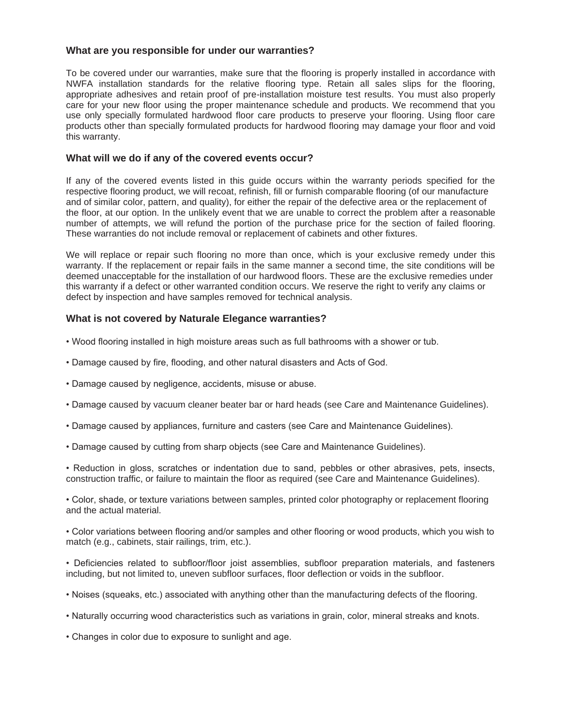### **What are you responsible for under our warranties?**

To be covered under our warranties, make sure that the flooring is properly installed in accordance with NWFA installation standards for the relative flooring type. Retain all sales slips for the flooring, appropriate adhesives and retain proof of pre-installation moisture test results. You must also properly care for your new floor using the proper maintenance schedule and products. We recommend that you use only specially formulated hardwood floor care products to preserve your flooring. Using floor care products other than specially formulated products for hardwood flooring may damage your floor and void this warranty.

### **What will we do if any of the covered events occur?**

If any of the covered events listed in this guide occurs within the warranty periods specified for the respective flooring product, we will recoat, refinish, fill or furnish comparable flooring (of our manufacture and of similar color, pattern, and quality), for either the repair of the defective area or the replacement of the floor, at our option. In the unlikely event that we are unable to correct the problem after a reasonable number of attempts, we will refund the portion of the purchase price for the section of failed flooring. These warranties do not include removal or replacement of cabinets and other fixtures.

We will replace or repair such flooring no more than once, which is your exclusive remedy under this warranty. If the replacement or repair fails in the same manner a second time, the site conditions will be deemed unacceptable for the installation of our hardwood floors. These are the exclusive remedies under this warranty if a defect or other warranted condition occurs. We reserve the right to verify any claims or defect by inspection and have samples removed for technical analysis.

### **What is not covered by Naturale Elegance warranties?**

- Wood flooring installed in high moisture areas such as full bathrooms with a shower or tub.
- Damage caused by fire, flooding, and other natural disasters and Acts of God.
- Damage caused by negligence, accidents, misuse or abuse.
- Damage caused by vacuum cleaner beater bar or hard heads (see Care and Maintenance Guidelines).
- Damage caused by appliances, furniture and casters (see Care and Maintenance Guidelines).
- Damage caused by cutting from sharp objects (see Care and Maintenance Guidelines).

• Reduction in gloss, scratches or indentation due to sand, pebbles or other abrasives, pets, insects, construction traffic, or failure to maintain the floor as required (see Care and Maintenance Guidelines).

• Color, shade, or texture variations between samples, printed color photography or replacement flooring and the actual material.

• Color variations between flooring and/or samples and other flooring or wood products, which you wish to match (e.g., cabinets, stair railings, trim, etc.).

• Deficiencies related to subfloor/floor joist assemblies, subfloor preparation materials, and fasteners including, but not limited to, uneven subfloor surfaces, floor deflection or voids in the subfloor.

- Noises (squeaks, etc.) associated with anything other than the manufacturing defects of the flooring.
- Naturally occurring wood characteristics such as variations in grain, color, mineral streaks and knots.
- Changes in color due to exposure to sunlight and age.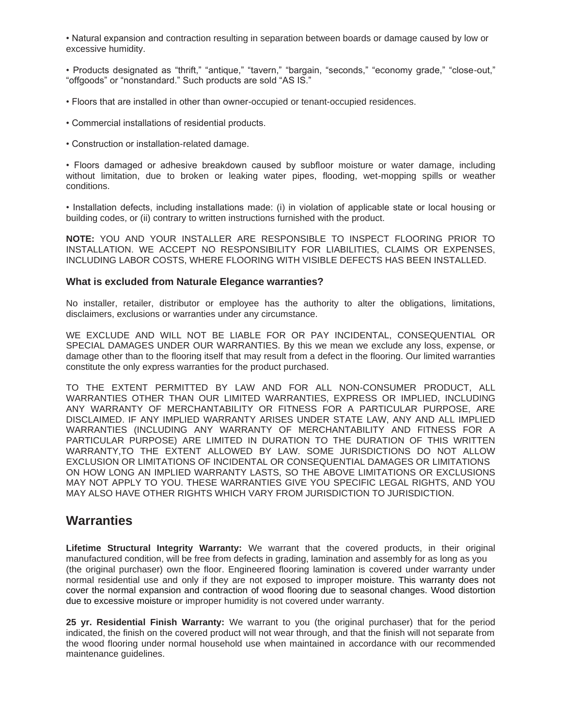• Natural expansion and contraction resulting in separation between boards or damage caused by low or excessive humidity.

• Products designated as "thrift," "antique," "tavern," "bargain, "seconds," "economy grade," "close-out," "offgoods" or "nonstandard." Such products are sold "AS IS."

- Floors that are installed in other than owner-occupied or tenant-occupied residences.
- Commercial installations of residential products.
- Construction or installation-related damage.

• Floors damaged or adhesive breakdown caused by subfloor moisture or water damage, including without limitation, due to broken or leaking water pipes, flooding, wet-mopping spills or weather conditions.

• Installation defects, including installations made: (i) in violation of applicable state or local housing or building codes, or (ii) contrary to written instructions furnished with the product.

**NOTE:** YOU AND YOUR INSTALLER ARE RESPONSIBLE TO INSPECT FLOORING PRIOR TO INSTALLATION. WE ACCEPT NO RESPONSIBILITY FOR LIABILITIES, CLAIMS OR EXPENSES, INCLUDING LABOR COSTS, WHERE FLOORING WITH VISIBLE DEFECTS HAS BEEN INSTALLED.

#### **What is excluded from Naturale Elegance warranties?**

No installer, retailer, distributor or employee has the authority to alter the obligations, limitations, disclaimers, exclusions or warranties under any circumstance.

WE EXCLUDE AND WILL NOT BE LIABLE FOR OR PAY INCIDENTAL, CONSEQUENTIAL OR SPECIAL DAMAGES UNDER OUR WARRANTIES. By this we mean we exclude any loss, expense, or damage other than to the flooring itself that may result from a defect in the flooring. Our limited warranties constitute the only express warranties for the product purchased.

TO THE EXTENT PERMITTED BY LAW AND FOR ALL NON-CONSUMER PRODUCT, ALL WARRANTIES OTHER THAN OUR LIMITED WARRANTIES, EXPRESS OR IMPLIED, INCLUDING ANY WARRANTY OF MERCHANTABILITY OR FITNESS FOR A PARTICULAR PURPOSE, ARE DISCLAIMED. IF ANY IMPLIED WARRANTY ARISES UNDER STATE LAW, ANY AND ALL IMPLIED WARRANTIES (INCLUDING ANY WARRANTY OF MERCHANTABILITY AND FITNESS FOR A PARTICULAR PURPOSE) ARE LIMITED IN DURATION TO THE DURATION OF THIS WRITTEN WARRANTY,TO THE EXTENT ALLOWED BY LAW. SOME JURISDICTIONS DO NOT ALLOW EXCLUSION OR LIMITATIONS OF INCIDENTAL OR CONSEQUENTIAL DAMAGES OR LIMITATIONS ON HOW LONG AN IMPLIED WARRANTY LASTS, SO THE ABOVE LIMITATIONS OR EXCLUSIONS MAY NOT APPLY TO YOU. THESE WARRANTIES GIVE YOU SPECIFIC LEGAL RIGHTS, AND YOU MAY ALSO HAVE OTHER RIGHTS WHICH VARY FROM JURISDICTION TO JURISDICTION.

# **Warranties**

**Lifetime Structural Integrity Warranty:** We warrant that the covered products, in their original manufactured condition, will be free from defects in grading, lamination and assembly for as long as you (the original purchaser) own the floor. Engineered flooring lamination is covered under warranty under normal residential use and only if they are not exposed to improper moisture. This warranty does not cover the normal expansion and contraction of wood flooring due to seasonal changes. Wood distortion due to excessive moisture or improper humidity is not covered under warranty.

**25 yr. Residential Finish Warranty:** We warrant to you (the original purchaser) that for the period indicated, the finish on the covered product will not wear through, and that the finish will not separate from the wood flooring under normal household use when maintained in accordance with our recommended maintenance guidelines.